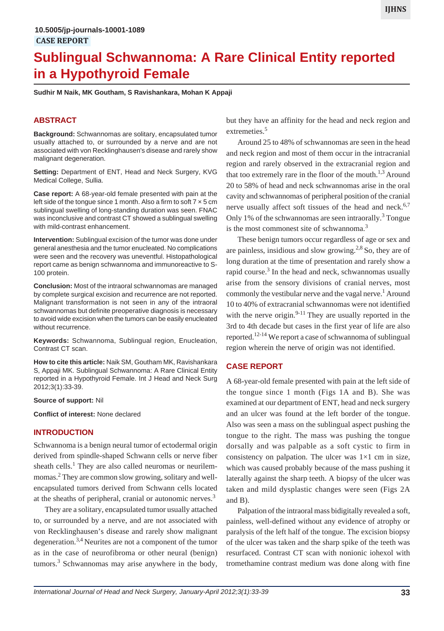# **Sublingual Schwannoma: A Rare Clinical Entity reported in a Hypothyroid Female**

**Sudhir M Naik, MK Goutham, S Ravishankara, Mohan K Appaji**

# **ABSTRACT**

**Background:** Schwannomas are solitary, encapsulated tumor usually attached to, or surrounded by a nerve and are not associated with von Recklinghausen's disease and rarely show malignant degeneration.

**Setting:** Department of ENT, Head and Neck Surgery, KVG Medical College, Sullia.

**Case report:** A 68-year-old female presented with pain at the left side of the tongue since 1 month. Also a firm to soft  $7 \times 5$  cm sublingual swelling of long-standing duration was seen. FNAC was inconclusive and contrast CT showed a sublingual swelling with mild-contrast enhancement.

**Intervention:** Sublingual excision of the tumor was done under general anesthesia and the tumor enucleated. No complications were seen and the recovery was uneventful. Histopathological report came as benign schwannoma and immunoreactive to S-100 protein.

**Conclusion:** Most of the intraoral schwannomas are managed by complete surgical excision and recurrence are not reported. Malignant transformation is not seen in any of the intraoral schwannomas but definite preoperative diagnosis is necessary to avoid wide excision when the tumors can be easily enucleated without recurrence.

**Keywords:** Schwannoma, Sublingual region, Enucleation, Contrast CT scan.

**How to cite this article:** Naik SM, Goutham MK, Ravishankara S, Appaji MK. Sublingual Schwannoma: A Rare Clinical Entity reported in a Hypothyroid Female. Int J Head and Neck Surg 2012;3(1):33-39.

#### **Source of support:** Nil

**Conflict of interest:** None declared

#### **INTRODUCTION**

Schwannoma is a benign neural tumor of ectodermal origin derived from spindle-shaped Schwann cells or nerve fiber sheath cells.<sup>1</sup> They are also called neuromas or neurilemmomas.2 They are common slow growing, solitary and wellencapsulated tumors derived from Schwann cells located at the sheaths of peripheral, cranial or autonomic nerves.<sup>3</sup>

They are a solitary, encapsulated tumor usually attached to, or surrounded by a nerve, and are not associated with von Recklinghausen's disease and rarely show malignant degeneration.3,4 Neurites are not a component of the tumor as in the case of neurofibroma or other neural (benign) tumors.<sup>3</sup> Schwannomas may arise anywhere in the body,

but they have an affinity for the head and neck region and extremeties.<sup>5</sup>

Around 25 to 48% of schwannomas are seen in the head and neck region and most of them occur in the intracranial region and rarely observed in the extracranial region and that too extremely rare in the floor of the mouth.<sup>1,3</sup> Around 20 to 58% of head and neck schwannomas arise in the oral cavity and schwannomas of peripheral position of the cranial nerve usually affect soft tissues of the head and neck. $6,7$ Only 1% of the schwannomas are seen intraorally.<sup>3</sup> Tongue is the most commonest site of schwannoma.<sup>3</sup>

These benign tumors occur regardless of age or sex and are painless, insidious and slow growing. $2.8$  So, they are of long duration at the time of presentation and rarely show a rapid course.<sup>3</sup> In the head and neck, schwannomas usually arise from the sensory divisions of cranial nerves, most commonly the vestibular nerve and the vagal nerve.<sup>1</sup> Around 10 to 40% of extracranial schwannomas were not identified with the nerve origin. $9-11$  They are usually reported in the 3rd to 4th decade but cases in the first year of life are also reported.<sup>12-14</sup> We report a case of schwannoma of sublingual region wherein the nerve of origin was not identified.

#### **CASE REPORT**

A 68-year-old female presented with pain at the left side of the tongue since 1 month (Figs 1A and B). She was examined at our department of ENT, head and neck surgery and an ulcer was found at the left border of the tongue. Also was seen a mass on the sublingual aspect pushing the tongue to the right. The mass was pushing the tongue dorsally and was palpable as a soft cystic to firm in consistency on palpation. The ulcer was  $1\times1$  cm in size, which was caused probably because of the mass pushing it laterally against the sharp teeth. A biopsy of the ulcer was taken and mild dysplastic changes were seen (Figs 2A and B).

Palpation of the intraoral mass bidigitally revealed a soft, painless, well-defined without any evidence of atrophy or paralysis of the left half of the tongue. The excision biopsy of the ulcer was taken and the sharp spike of the teeth was resurfaced. Contrast CT scan with nonionic iohexol with tromethamine contrast medium was done along with fine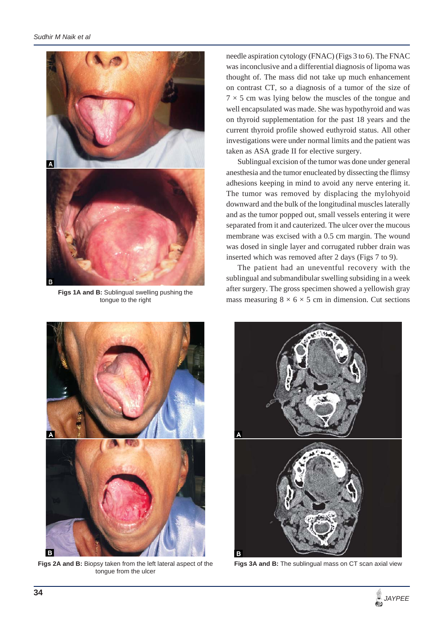

**Figs 1A and B:** Sublingual swelling pushing the tongue to the right



**Figs 2A and B:** Biopsy taken from the left lateral aspect of the tongue from the ulcer

needle aspiration cytology (FNAC) (Figs 3 to 6). The FNAC was inconclusive and a differential diagnosis of lipoma was thought of. The mass did not take up much enhancement on contrast CT, so a diagnosis of a tumor of the size of  $7 \times 5$  cm was lying below the muscles of the tongue and well encapsulated was made. She was hypothyroid and was on thyroid supplementation for the past 18 years and the current thyroid profile showed euthyroid status. All other investigations were under normal limits and the patient was taken as ASA grade II for elective surgery.

Sublingual excision of the tumor was done under general anesthesia and the tumor enucleated by dissecting the flimsy adhesions keeping in mind to avoid any nerve entering it. The tumor was removed by displacing the mylohyoid downward and the bulk of the longitudinal muscles laterally and as the tumor popped out, small vessels entering it were separated from it and cauterized. The ulcer over the mucous membrane was excised with a 0.5 cm margin. The wound was dosed in single layer and corrugated rubber drain was inserted which was removed after 2 days (Figs 7 to 9).

The patient had an uneventful recovery with the sublingual and submandibular swelling subsiding in a week after surgery. The gross specimen showed a yellowish gray mass measuring  $8 \times 6 \times 5$  cm in dimension. Cut sections



**Figs 3A and B:** The sublingual mass on CT scan axial view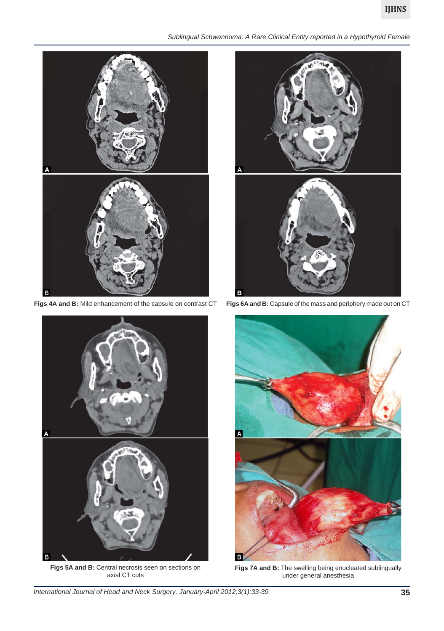# **IJHNS**

#### *Sublingual Schwannoma: A Rare Clinical Entity reported in a Hypothyroid Female*



**Figs 4A and B:** Mild enhancement of the capsule on contrast CT



**Figs 5A and B:** Central necrosis seen on sections on axial CT cuts



**Figs 6A and B:** Capsule of the mass and periphery made out on CT



**Figs 7A and B:** The swelling being enucleated sublingually under general anesthesia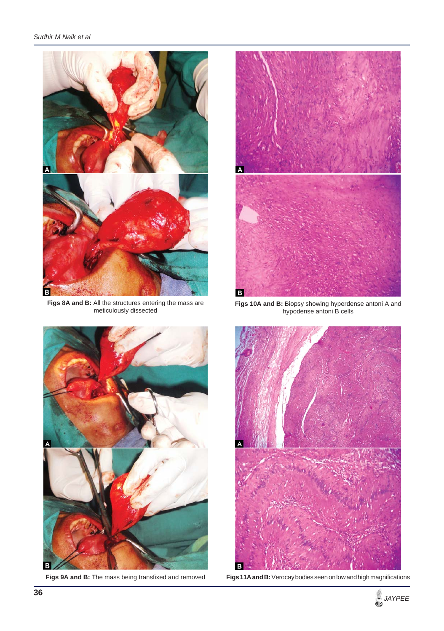

**Figs 8A and B:** All the structures entering the mass are meticulously dissected



**Figs 10A and B:** Biopsy showing hyperdense antoni A and hypodense antoni B cells



**Figs 9A and B:** The mass being transfixed and removed



**Figs 11A and B:** Verocay bodies seen on low and high magnifications

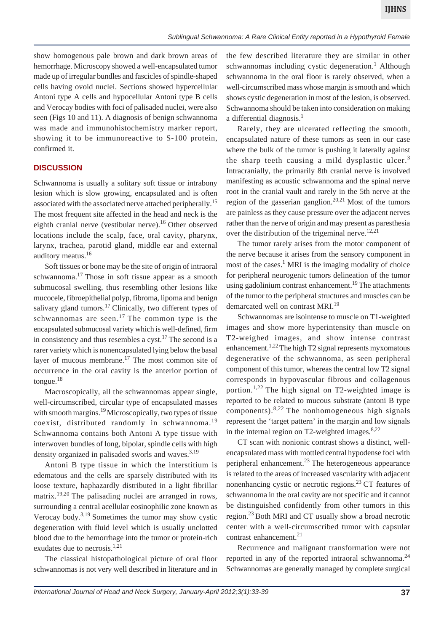show homogenous pale brown and dark brown areas of hemorrhage. Microscopy showed a well-encapsulated tumor made up of irregular bundles and fascicles of spindle-shaped cells having ovoid nuclei. Sections showed hypercellular Antoni type A cells and hypocellular Antoni type B cells and Verocay bodies with foci of palisaded nuclei, were also seen (Figs 10 and 11). A diagnosis of benign schwannoma was made and immunohistochemistry marker report, showing it to be immunoreactive to S-100 protein, confirmed it.

# **DISCUSSION**

Schwannoma is usually a solitary soft tissue or intrabony lesion which is slow growing, encapsulated and is often associated with the associated nerve attached peripherally.<sup>15</sup> The most frequent site affected in the head and neck is the eighth cranial nerve (vestibular nerve).<sup>16</sup> Other observed locations include the scalp, face, oral cavity, pharynx, larynx, trachea, parotid gland, middle ear and external auditory meatus.16

Soft tissues or bone may be the site of origin of intraoral schwannoma.17 Those in soft tissue appear as a smooth submucosal swelling, thus resembling other lesions like mucocele, fibroepithelial polyp, fibroma, lipoma and benign salivary gland tumors.<sup>17</sup> Clinically, two different types of schwannomas are seen.<sup>17</sup> The common type is the encapsulated submucosal variety which is well-defined, firm in consistency and thus resembles a cyst.<sup>17</sup> The second is a rarer variety which is nonencapsulated lying below the basal layer of mucous membrane.17 The most common site of occurrence in the oral cavity is the anterior portion of tongue. $18$ 

Macroscopically, all the schwannomas appear single, well-circumscribed, circular type of encapsulated masses with smooth margins.<sup>19</sup> Microscopically, two types of tissue coexist, distributed randomly in schwannoma.<sup>19</sup> Schwannoma contains both Antoni A type tissue with interwoven bundles of long, bipolar, spindle cells with high density organized in palisaded sworls and waves.<sup>3,19</sup>

Antoni B type tissue in which the interstitium is edematous and the cells are sparsely distributed with its loose texture, haphazardly distributed in a light fibrillar matrix.19,20 The palisading nuclei are arranged in rows, surrounding a central acellular eosinophilic zone known as Verocay body.<sup>3,19</sup> Sometimes the tumor may show cystic degeneration with fluid level which is usually unclotted blood due to the hemorrhage into the tumor or protein-rich exudates due to necrosis.<sup>1,21</sup>

The classical histopathological picture of oral floor schwannomas is not very well described in literature and in

the few described literature they are similar in other schwannomas including cystic degeneration.<sup>1</sup> Although schwannoma in the oral floor is rarely observed, when a well-circumscribed mass whose margin is smooth and which shows cystic degeneration in most of the lesion, is observed. Schwannoma should be taken into consideration on making a differential diagnosis.<sup>1</sup>

Rarely, they are ulcerated reflecting the smooth, encapsulated nature of these tumors as seen in our case where the bulk of the tumor is pushing it laterally against the sharp teeth causing a mild dysplastic ulcer.<sup>3</sup> Intracranially, the primarily 8th cranial nerve is involved manifesting as acoustic schwannoma and the spinal nerve root in the cranial vault and rarely in the 5th nerve at the region of the gasserian ganglion.<sup>20,21</sup> Most of the tumors are painless as they cause pressure over the adjacent nerves rather than the nerve of origin and may present as paresthesia over the distribution of the trigeminal nerve.<sup>12,21</sup>

The tumor rarely arises from the motor component of the nerve because it arises from the sensory component in most of the cases.<sup>1</sup> MRI is the imaging modality of choice for peripheral neurogenic tumors delineation of the tumor using gadolinium contrast enhancement.<sup>19</sup> The attachments of the tumor to the peripheral structures and muscles can be demarcated well on contrast MRI.<sup>19</sup>

Schwannomas are isointense to muscle on T1-weighted images and show more hyperintensity than muscle on T2-weighed images, and show intense contrast enhancement.<sup>1,22</sup> The high T2 signal represents myxomatous degenerative of the schwannoma, as seen peripheral component of this tumor, whereas the central low T2 signal corresponds in hypovascular fibrous and collagenous portion.<sup>1,22</sup> The high signal on T2-weighted image is reported to be related to mucous substrate (antoni B type components). $8,22$  The nonhomogeneous high signals represent the 'target pattern' in the margin and low signals in the internal region on T2-weighted images. $8,22$ 

CT scan with nonionic contrast shows a distinct, wellencapsulated mass with mottled central hypodense foci with peripheral enhancement.<sup>23</sup> The heterogeneous appearance is related to the areas of increased vascularity with adjacent nonenhancing cystic or necrotic regions.<sup>23</sup> CT features of schwannoma in the oral cavity are not specific and it cannot be distinguished confidently from other tumors in this region. $^{23}$  Both MRI and CT usually show a broad necrotic center with a well-circumscribed tumor with capsular contrast enhancement.<sup>21</sup>

Recurrence and malignant transformation were not reported in any of the reported intraoral schwannoma.<sup>24</sup> Schwannomas are generally managed by complete surgical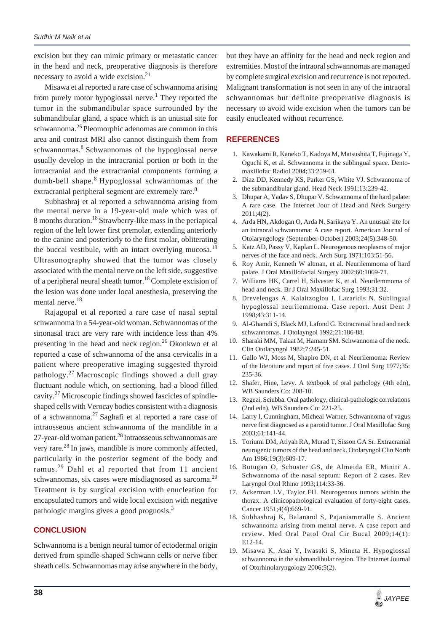excision but they can mimic primary or metastatic cancer in the head and neck, preoperative diagnosis is therefore necessary to avoid a wide excision. $21$ 

Misawa et al reported a rare case of schwannoma arising from purely motor hypoglossal nerve.<sup>1</sup> They reported the tumor in the submandibular space surrounded by the submandibular gland, a space which is an unusual site for schwannoma.<sup>25</sup> Pleomorphic adenomas are common in this area and contrast MRI also cannot distinguish them from schwannomas.<sup>8</sup> Schwannomas of the hypoglossal nerve usually develop in the intracranial portion or both in the intracranial and the extracranial components forming a dumb-bell shape.<sup>8</sup> Hypoglossal schwannomas of the extracranial peripheral segment are extremely rare.<sup>8</sup>

Subhashraj et al reported a schwannoma arising from the mental nerve in a 19-year-old male which was of 8 months duration.18 Strawberry-like mass in the periapical region of the left lower first premolar, extending anteriorly to the canine and posteriorly to the first molar, obliterating the buccal vestibule, with an intact overlying mucosa.<sup>18</sup> Ultrasonography showed that the tumor was closely associated with the mental nerve on the left side, suggestive of a peripheral neural sheath tumor.18 Complete excision of the lesion was done under local anesthesia, preserving the mental nerve.<sup>18</sup>

Rajagopal et al reported a rare case of nasal septal schwannoma in a 54-year-old woman. Schwannomas of the sinonasal tract are very rare with incidence less than 4% presenting in the head and neck region.<sup>26</sup> Okonkwo et al reported a case of schwannoma of the ansa cervicalis in a patient where preoperative imaging suggested thyroid pathology. $27$  Macroscopic findings showed a dull gray fluctuant nodule which, on sectioning, had a blood filled cavity.27 Microscopic findings showed fascicles of spindleshaped cells with Verocay bodies consistent with a diagnosis of a schwannoma.27 Saghafi et al reported a rare case of intraosseous ancient schwannoma of the mandible in a 27-year-old woman patient.<sup>28</sup> Intraosseous schwannomas are very rare.28 In jaws, mandible is more commonly affected, particularly in the posterior segment of the body and ramus.29 Dahl et al reported that from 11 ancient schwannomas, six cases were misdiagnosed as sarcoma.<sup>29</sup> Treatment is by surgical excision with enucleation for encapsulated tumors and wide local excision with negative pathologic margins gives a good prognosis.<sup>3</sup>

## **CONCLUSION**

Schwannoma is a benign neural tumor of ectodermal origin derived from spindle-shaped Schwann cells or nerve fiber sheath cells. Schwannomas may arise anywhere in the body,

but they have an affinity for the head and neck region and extremities. Most of the intraoral schwannomas are managed by complete surgical excision and recurrence is not reported. Malignant transformation is not seen in any of the intraoral schwannomas but definite preoperative diagnosis is necessary to avoid wide excision when the tumors can be easily enucleated without recurrence.

#### **REFERENCES**

- 1. Kawakami R, Kaneko T, Kadoya M, Matsushita T, Fujinaga Y, Oguchi K, et al. Schwannoma in the sublingual space. Dentomaxillofac Radiol 2004;33:259-61.
- 2. Diaz DD, Kennedy KS, Parker GS, White VJ. Schwannoma of the submandibular gland. Head Neck 1991;13:239-42.
- 3. Dhupar A, Yadav S, Dhupar V. Schwannoma of the hard palate: A rare case. The Internet Jour of Head and Neck Surgery 2011;4(2).
- 4. Arda HN, Akdogan O, Arda N, Sarikaya Y. An unusual site for an intraoral schwannoma: A case report. American Journal of Otolaryngology (September-October) 2003;24(5):348-50.
- 5. Katz AD, Passy V, Kaplan L. Neurogenous neoplasms of major nerves of the face and neck. Arch Surg 1971;103:51-56.
- 6. Roy Amir, Kenneth W altman, et al. Neurilemmoma of hard palate. J Oral Maxillofacial Surgery 2002;60:1069-71.
- 7. Williams HK, Carrel H, Silvester K, et al. Neurilemmoma of head and neck. Br J Oral Maxillofac Surg 1993;31:32.
- 8. Drevelengas A, Kalaitzoglou I, Lazaridis N. Sublingual hypoglossal neurilemmoma. Case report. Aust Dent J 1998;43:311-14.
- 9. Al-Ghamdi S, Black MJ, Lafond G. Extracranial head and neck schwannomas. J Otolayngol 1992;21:186-88.
- 10. Sharaki MM, Talaat M, Hamam SM. Schwannoma of the neck. Clin Otolaryngol 1982;7:245-51.
- 11. Gallo WJ, Moss M, Shapiro DN, et al. Neurilemoma: Review of the literature and report of five cases. J Oral Surg 1977;35: 235-36.
- 12. Shafer, Hine, Levy. A textbook of oral pathology (4th edn), WB Saunders Co: 208-10.
- 13. Regezi, Sciubba. Oral pathology, clinical-pathologic correlations (2nd edn). WB Saunders Co: 221-25.
- 14. Larry l, Cunningham, Micheal Warner. Schwannoma of vagus nerve first diagnosed as a parotid tumor. J Oral Maxillofac Surg 2003;61:141-44.
- 15. Toriumi DM, Atiyah RA, Murad T, Sisson GA Sr. Extracranial neurogenic tumors of the head and neck. Otolaryngol Clin North Am 1986;19(3):609-17.
- 16. Butugan O, Schuster GS, de Almeida ER, Miniti A. Schwannoma of the nasal septum: Report of 2 cases. Rev Laryngol Otol Rhino 1993;114:33-36.
- 17. Ackerman LV, Taylor FH. Neurogenous tumors within the thorax: A clinicopathological evaluation of forty-eight cases. Cancer 1951;4(4):669-91.
- 18. Subhashraj K, Balanand S, Pajaniammalle S. Ancient schwannoma arising from mental nerve. A case report and review. Med Oral Patol Oral Cir Bucal 2009;14(1): E12-14.
- 19. Misawa K, Asai Y, Iwasaki S, Mineta H. Hypoglossal schwannoma in the submandibular region. The Internet Journal of Otorhinolaryngology 2006;5(2).